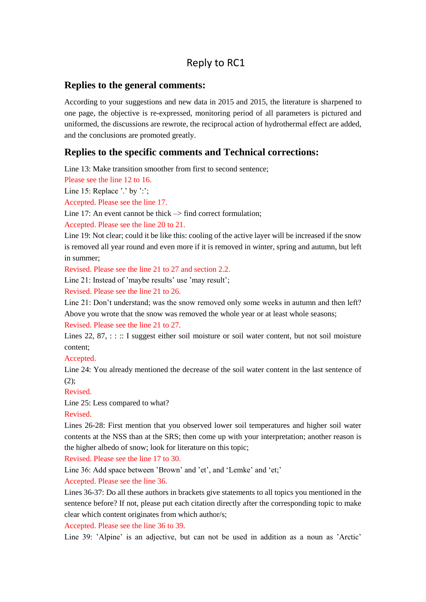# Reply to RC1

# **Replies to the general comments:**

According to your suggestions and new data in 2015 and 2015, the literature is sharpened to one page, the objective is re-expressed, monitoring period of all parameters is pictured and uniformed, the discussions are rewrote, the reciprocal action of hydrothermal effect are added, and the conclusions are promoted greatly.

# **Replies to the specific comments and Technical corrections:**

Line 13: Make transition smoother from first to second sentence;

Please see the line 12 to 16.

Line 15: Replace '.' by ':';

Accepted. Please see the line 17.

Line 17: An event cannot be thick  $\rightarrow$  find correct formulation;

Accepted. Please see the line 20 to 21.

Line 19: Not clear; could it be like this: cooling of the active layer will be increased if the snow is removed all year round and even more if it is removed in winter, spring and autumn, but left in summer;

Revised. Please see the line 21 to 27 and section 2.2.

Line 21: Instead of 'maybe results' use 'may result';

Revised. Please see the line 21 to 26.

Line 21: Don't understand; was the snow removed only some weeks in autumn and then left? Above you wrote that the snow was removed the whole year or at least whole seasons;

Revised. Please see the line 21 to 27.

Lines 22, 87,  $\therefore$  I suggest either soil moisture or soil water content, but not soil moisture content;

Accepted.

Line 24: You already mentioned the decrease of the soil water content in the last sentence of  $(2)$ :

Revised.

Line 25: Less compared to what?

Revised.

Lines 26-28: First mention that you observed lower soil temperatures and higher soil water contents at the NSS than at the SRS; then come up with your interpretation; another reason is the higher albedo of snow; look for literature on this topic;

Revised. Please see the line 17 to 30.

Line 36: Add space between 'Brown' and 'et', and 'Lemke' and 'et;'

Accepted. Please see the line 36.

Lines 36-37: Do all these authors in brackets give statements to all topics you mentioned in the sentence before? If not, please put each citation directly after the corresponding topic to make clear which content originates from which author/s;

Accepted. Please see the line 36 to 39.

Line 39: 'Alpine' is an adjective, but can not be used in addition as a noun as 'Arctic'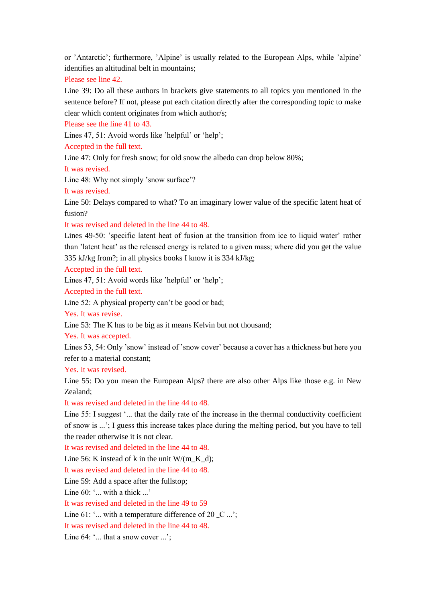or 'Antarctic'; furthermore, 'Alpine' is usually related to the European Alps, while 'alpine' identifies an altitudinal belt in mountains;

Please see line 42.

Line 39: Do all these authors in brackets give statements to all topics you mentioned in the sentence before? If not, please put each citation directly after the corresponding topic to make clear which content originates from which author/s;

Please see the line 41 to 43.

Lines 47, 51: Avoid words like 'helpful' or 'help';

Accepted in the full text.

Line 47: Only for fresh snow; for old snow the albedo can drop below 80%;

It was revised.

Line 48: Why not simply 'snow surface'?

It was revised.

Line 50: Delays compared to what? To an imaginary lower value of the specific latent heat of fusion?

It was revised and deleted in the line 44 to 48.

Lines 49-50: 'specific latent heat of fusion at the transition from ice to liquid water' rather than 'latent heat' as the released energy is related to a given mass; where did you get the value 335 kJ/kg from?; in all physics books I know it is 334 kJ/kg;

Accepted in the full text.

Lines 47, 51: Avoid words like 'helpful' or 'help';

Accepted in the full text.

Line 52: A physical property can't be good or bad;

Yes. It was revise.

Line 53: The K has to be big as it means Kelvin but not thousand;

Yes. It was accepted.

Lines 53, 54: Only 'snow' instead of 'snow cover' because a cover has a thickness but here you refer to a material constant;

Yes. It was revised.

Line 55: Do you mean the European Alps? there are also other Alps like those e.g. in New Zealand;

It was revised and deleted in the line 44 to 48.

Line 55: I suggest '... that the daily rate of the increase in the thermal conductivity coefficient of snow is ...'; I guess this increase takes place during the melting period, but you have to tell the reader otherwise it is not clear.

It was revised and deleted in the line 44 to 48.

Line 56: K instead of k in the unit  $W/(m$  K d):

It was revised and deleted in the line 44 to 48.

Line 59: Add a space after the fullstop;

Line  $60:$  "... with a thick ..."

It was revised and deleted in the line 49 to 59

Line 61: '... with a temperature difference of 20  $\,$  C ...';

It was revised and deleted in the line 44 to 48.

Line 64: '... that a snow cover ...':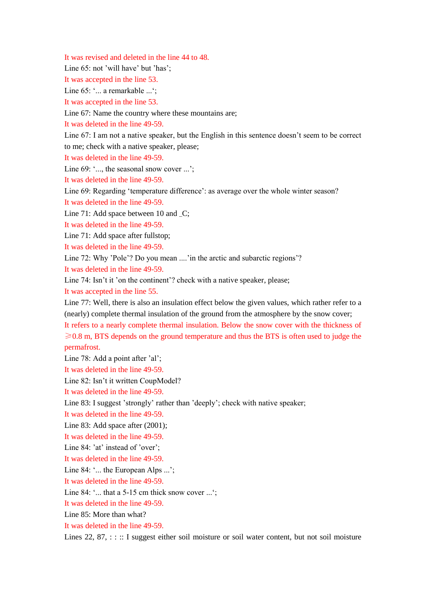It was revised and deleted in the line 44 to 48.

Line 65: not 'will have' but 'has';

It was accepted in the line 53.

Line 65: '... a remarkable ...';

It was accepted in the line 53.

Line 67: Name the country where these mountains are;

It was deleted in the line 49-59.

Line 67: I am not a native speaker, but the English in this sentence doesn't seem to be correct to me; check with a native speaker, please;

It was deleted in the line 49-59.

Line 69: '..., the seasonal snow cover ...':

It was deleted in the line 49-59.

Line 69: Regarding 'temperature difference': as average over the whole winter season?

It was deleted in the line 49-59.

Line 71: Add space between 10 and \_C;

It was deleted in the line 49-59.

Line 71: Add space after fullstop;

It was deleted in the line 49-59.

Line 72: Why 'Pole'? Do you mean ....'in the arctic and subarctic regions'?

It was deleted in the line 49-59.

Line 74: Isn't it 'on the continent'? check with a native speaker, please;

It was accepted in the line 55.

Line 77: Well, there is also an insulation effect below the given values, which rather refer to a (nearly) complete thermal insulation of the ground from the atmosphere by the snow cover;

It refers to a nearly complete thermal insulation. Below the snow cover with the thickness of  $\geq 0.8$  m, BTS depends on the ground temperature and thus the BTS is often used to judge the permafrost.

Line 78: Add a point after 'al';

It was deleted in the line 49-59.

Line 82: Isn't it written CoupModel?

It was deleted in the line 49-59.

Line 83: I suggest 'strongly' rather than 'deeply'; check with native speaker;

It was deleted in the line 49-59.

Line 83: Add space after (2001);

It was deleted in the line 49-59.

Line 84: 'at' instead of 'over':

It was deleted in the line 49-59.

Line 84: '... the European Alps ...';

It was deleted in the line 49-59.

Line 84: '... that a 5-15 cm thick snow cover ...';

It was deleted in the line 49-59.

Line 85: More than what?

It was deleted in the line 49-59.

Lines 22,  $87$ , : : :: I suggest either soil moisture or soil water content, but not soil moisture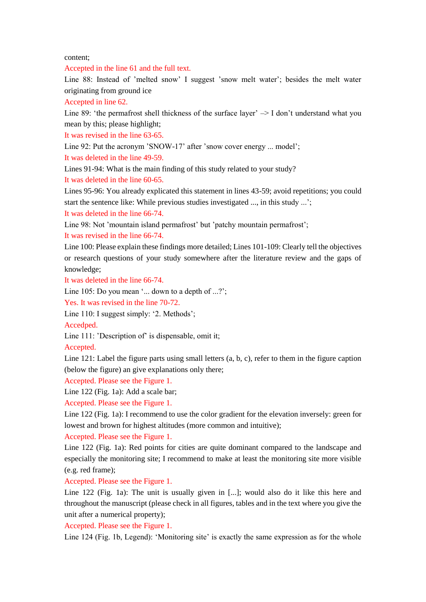content;

Accepted in the line 61 and the full text.

Line 88: Instead of 'melted snow' I suggest 'snow melt water'; besides the melt water originating from ground ice

Accepted in line 62.

Line 89: 'the permafrost shell thickness of the surface layer' -> I don't understand what you mean by this; please highlight;

It was revised in the line 63-65.

Line 92: Put the acronym 'SNOW-17' after 'snow cover energy ... model';

It was deleted in the line 49-59.

Lines 91-94: What is the main finding of this study related to your study?

It was deleted in the line 60-65.

Lines 95-96: You already explicated this statement in lines 43-59; avoid repetitions; you could start the sentence like: While previous studies investigated ..., in this study ...';

It was deleted in the line 66-74.

Line 98: Not 'mountain island permafrost' but 'patchy mountain permafrost';

It was revised in the line 66-74.

Line 100: Please explain these findings more detailed; Lines 101-109: Clearly tell the objectives or research questions of your study somewhere after the literature review and the gaps of knowledge;

It was deleted in the line 66-74.

Line 105: Do you mean '... down to a depth of ...?';

Yes. It was revised in the line 70-72.

Line 110: I suggest simply: '2. Methods';

Accedped.

Line 111: 'Description of' is dispensable, omit it;

Accepted.

Line 121: Label the figure parts using small letters (a, b, c), refer to them in the figure caption (below the figure) an give explanations only there;

Accepted. Please see the Figure 1.

Line 122 (Fig. 1a): Add a scale bar;

Accepted. Please see the Figure 1.

Line 122 (Fig. 1a): I recommend to use the color gradient for the elevation inversely: green for lowest and brown for highest altitudes (more common and intuitive);

Accepted. Please see the Figure 1.

Line 122 (Fig. 1a): Red points for cities are quite dominant compared to the landscape and especially the monitoring site; I recommend to make at least the monitoring site more visible (e.g. red frame);

Accepted. Please see the Figure 1.

Line 122 (Fig. 1a): The unit is usually given in [...]; would also do it like this here and throughout the manuscript (please check in all figures, tables and in the text where you give the unit after a numerical property);

Accepted. Please see the Figure 1.

Line 124 (Fig. 1b, Legend): 'Monitoring site' is exactly the same expression as for the whole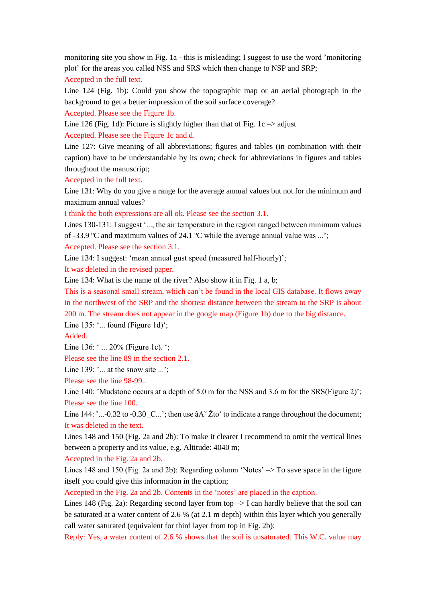monitoring site you show in Fig. 1a - this is misleading; I suggest to use the word 'monitoring plot' for the areas you called NSS and SRS which then change to NSP and SRP;

Accepted in the full text.

Line 124 (Fig. 1b): Could you show the topographic map or an aerial photograph in the background to get a better impression of the soil surface coverage?

Accepted. Please see the Figure 1b.

Line 126 (Fig. 1d): Picture is slightly higher than that of Fig. 1c  $\rightarrow$  adjust Accepted. Please see the Figure 1c and d.

Line 127: Give meaning of all abbreviations; figures and tables (in combination with their caption) have to be understandable by its own; check for abbreviations in figures and tables throughout the manuscript;

Accepted in the full text.

Line 131: Why do you give a range for the average annual values but not for the minimum and maximum annual values?

I think the both expressions are all ok. Please see the section 3.1.

Lines 130-131: I suggest '..., the air temperature in the region ranged between minimum values of -33.9  $\mathbb C$  and maximum values of 24.1  $\mathbb C$  while the average annual value was ...'; Accepted. Please see the section 3.1.

Line 134: I suggest: 'mean annual gust speed (measured half-hourly)';

It was deleted in the revised paper.

Line 134: What is the name of the river? Also show it in Fig. 1 a, b;

This is a seasonal small stream, which can't be found in the local GIS database. It flows away in the northwest of the SRP and the shortest distance between the stream to the SRP is about 200 m. The stream does not appear in the google map (Figure 1b) due to the big distance.

Line  $135:$  '... found (Figure 1d)';

Added.

Line 136: ' ... 20% (Figure 1c). ';

Please see the line 89 in the section 2.1.

Line 139:  $\cdot \dots$  at the snow site  $\dots$ :

Please see the line 98-99..

Line 140: 'Mudstone occurs at a depth of 5.0 m for the NSS and 3.6 m for the SRS(Figure 2)'; Please see the line 100.

Line 144: '...-0.32 to -0.30 \_C...'; then use  $\hat{a}A\check{Z}$ to' to indicate a range throughout the document; It was deleted in the text.

Lines 148 and 150 (Fig. 2a and 2b): To make it clearer I recommend to omit the vertical lines between a property and its value, e.g. Altitude: 4040 m;

Accepted in the Fig. 2a and 2b.

Lines 148 and 150 (Fig. 2a and 2b): Regarding column 'Notes'  $\rightarrow$  To save space in the figure itself you could give this information in the caption;

Accepted in the Fig. 2a and 2b. Contents in the 'notes' are placed in the caption.

Lines 148 (Fig. 2a): Regarding second layer from top  $\rightarrow$  I can hardly believe that the soil can be saturated at a water content of 2.6 % (at 2.1 m depth) within this layer which you generally call water saturated (equivalent for third layer from top in Fig. 2b);

Reply: Yes, a water content of 2.6 % shows that the soil is unsaturated. This W.C. value may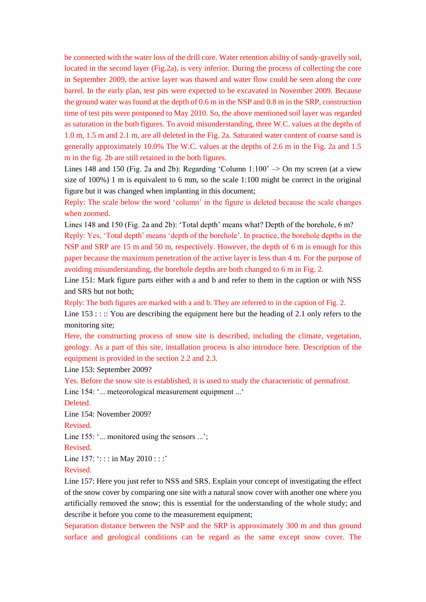be connected with the water loss of the drill core. Water retention ability of sandy-gravelly soil, located in the second layer (Fig.2a), is very inferior. During the process of collecting the core in September 2009, the active layer was thawed and water flow could be seen along the core barrel. In the early plan, test pits were expected to be excavated in November 2009. Because the ground water was found at the depth of 0.6 m in the NSP and 0.8 m in the SRP, construction time of test pits were postponed to May 2010. So, the above mentioned soil layer was regarded as saturation in the both figures. To avoid misunderstanding, three W.C. values at the depths of 1.0 m, 1.5 m and 2.1 m, are all deleted in the Fig. 2a. Saturated water content of coarse sand is generally approximately 10.0% The W.C. values at the depths of 2.6 m in the Fig. 2a and 1.5 m in the fig. 2b are still retained in the both figures.

Lines 148 and 150 (Fig. 2a and 2b): Regarding 'Column  $1:100' \rightarrow$  On my screen (at a view size of 100%) 1 m is equivalent to 6 mm, so the scale 1:100 might be correct in the original figure but it was changed when implanting in this document;

Reply: The scale below the word 'column' in the figure is deleted because the scale changes when zoomed.

Lines 148 and 150 (Fig. 2a and 2b): 'Total depth' means what? Depth of the borehole, 6 m?

Reply: Yes, 'Total depth' means 'depth of the borehole'. In practice, the borehole depths in the NSP and SRP are 15 m and 50 m, respectively. However, the depth of 6 m is enough for this paper because the maximum penetration of the active layer is less than 4 m. For the purpose of avoiding misunderstanding, the borehole depths are both changed to 6 m in Fig. 2.

Line 151: Mark figure parts either with a and b and refer to them in the caption or with NSS and SRS but not both;

Reply: The both figures are marked with a and b. They are referred to in the caption of Fig. 2.

Line  $153$  : ::: You are describing the equipment here but the heading of 2.1 only refers to the monitoring site;

Here, the constructing process of snow site is described, including the climate, vegetation, geology. As a part of this site, installation process is also introduce here. Description of the equipment is provided in the section 2.2 and 2.3.

Line 153: September 2009?

Yes. Before the snow site is established, it is used to study the characteristic of permafrost.

Line 154: '... meteorological measurement equipment ...'

Deleted.

Line 154: November 2009?

Revised.

Line 155: '... monitored using the sensors ...';

Revised.

Line  $157:$  ::: in May  $2010:$ : : :'

Revised.

Line 157: Here you just refer to NSS and SRS. Explain your concept of investigating the effect of the snow cover by comparing one site with a natural snow cover with another one where you artificially removed the snow; this is essential for the understanding of the whole study; and describe it before you come to the measurement equipment;

Separation distance between the NSP and the SRP is approximately 300 m and thus ground surface and geological conditions can be regard as the same except snow cover. The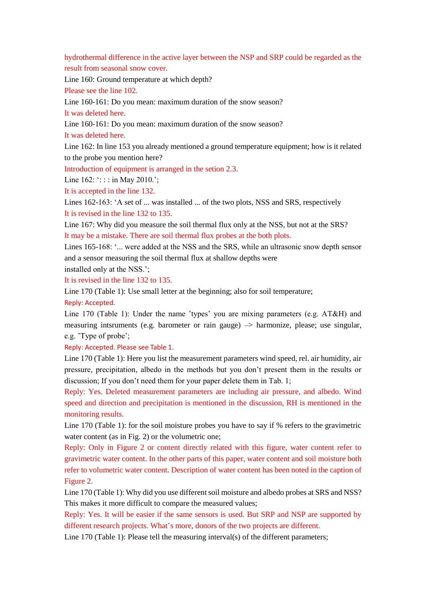hydrothermal difference in the active layer between the NSP and SRP could be regarded as the result from seasonal snow cover.

Line 160: Ground temperature at which depth?

Please see the line 102.

Line 160-161: Do you mean: maximum duration of the snow season?

It was deleted here.

Line 160-161: Do you mean: maximum duration of the snow season?

It was deleted here.

Line 162: In line 153 you already mentioned a ground temperature equipment; how is it related to the probe you mention here?

Introduction of equipment is arranged in the setion 2.3.

Line  $162:$  ::: in May 2010.';

It is accepted in the line 132.

Lines 162-163: 'A set of ... was installed ... of the two plots, NSS and SRS, respectively It is revised in the line 132 to 135.

Line 167: Why did you measure the soil thermal flux only at the NSS, but not at the SRS? It may be a mistake. There are soil thermal flux probes at the both plots.

Lines 165-168: '... were added at the NSS and the SRS, while an ultrasonic snow depth sensor and a sensor measuring the soil thermal flux at shallow depths were

installed only at the NSS.';

It is revised in the line 132 to 135.

Line 170 (Table 1): Use small letter at the beginning; also for soil temperature; Reply: Accepted.

Line 170 (Table 1): Under the name 'types' you are mixing parameters (e.g. AT&H) and measuring intsruments (e.g. barometer or rain gauge)  $\rightarrow$  harmonize, please; use singular, e.g. 'Type of probe';

Reply: Accepted. Please see Table 1.

Line 170 (Table 1): Here you list the measurement parameters wind speed, rel. air humidity, air pressure, precipitation, albedo in the methods but you don't present them in the results or discussion; If you don't need them for your paper delete them in Tab. 1;

Reply: Yes. Deleted measurement parameters are including air pressure, and albedo. Wind speed and direction and precipitation is mentioned in the discussion, RH is mentioned in the monitoring results.

Line 170 (Table 1): for the soil moisture probes you have to say if % refers to the gravimetric water content (as in Fig. 2) or the volumetric one;

Reply: Only in Figure 2 or content directly related with this figure, water content refer to gravimetric water content. In the other parts of this paper, water content and soil moisture both refer to volumetric water content. Description of water content has been noted in the caption of Figure 2.

Line 170 (Table 1): Why did you use different soil moisture and albedo probes at SRS and NSS? This makes it more difficult to compare the measured values;

Reply: Yes. It will be easier if the same sensors is used. But SRP and NSP are supported by different research projects. What's more, donors of the two projects are different.

Line 170 (Table 1): Please tell the measuring interval(s) of the different parameters;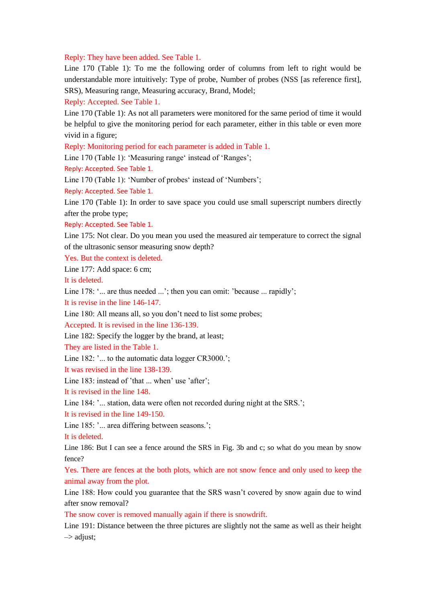#### Reply: They have been added. See Table 1.

Line 170 (Table 1): To me the following order of columns from left to right would be understandable more intuitively: Type of probe, Number of probes (NSS [as reference first], SRS), Measuring range, Measuring accuracy, Brand, Model;

Reply: Accepted. See Table 1.

Line 170 (Table 1): As not all parameters were monitored for the same period of time it would be helpful to give the monitoring period for each parameter, either in this table or even more vivid in a figure;

Reply: Monitoring period for each parameter is added in Table 1.

Line 170 (Table 1): 'Measuring range' instead of 'Ranges';

Reply: Accepted. See Table 1.

Line 170 (Table 1): 'Number of probes' instead of 'Numbers';

Reply: Accepted. See Table 1.

Line 170 (Table 1): In order to save space you could use small superscript numbers directly after the probe type;

Reply: Accepted. See Table 1.

Line 175: Not clear. Do you mean you used the measured air temperature to correct the signal of the ultrasonic sensor measuring snow depth?

Yes. But the context is deleted.

Line 177: Add space: 6 cm;

It is deleted.

Line 178: '... are thus needed ...'; then you can omit: 'because ... rapidly';

It is revise in the line 146-147.

Line 180: All means all, so you don't need to list some probes;

Accepted. It is revised in the line 136-139.

Line 182: Specify the logger by the brand, at least;

They are listed in the Table 1.

Line 182: '... to the automatic data logger CR3000.';

It was revised in the line 138-139.

Line 183: instead of 'that ... when' use 'after';

It is revised in the line 148.

Line 184: '... station, data were often not recorded during night at the SRS.';

It is revised in the line 149-150.

Line 185: '... area differing between seasons.';

It is deleted.

Line 186: But I can see a fence around the SRS in Fig. 3b and c; so what do you mean by snow fence?

Yes. There are fences at the both plots, which are not snow fence and only used to keep the animal away from the plot.

Line 188: How could you guarantee that the SRS wasn't covered by snow again due to wind after snow removal?

The snow cover is removed manually again if there is snowdrift.

Line 191: Distance between the three pictures are slightly not the same as well as their height  $\Rightarrow$  adjust: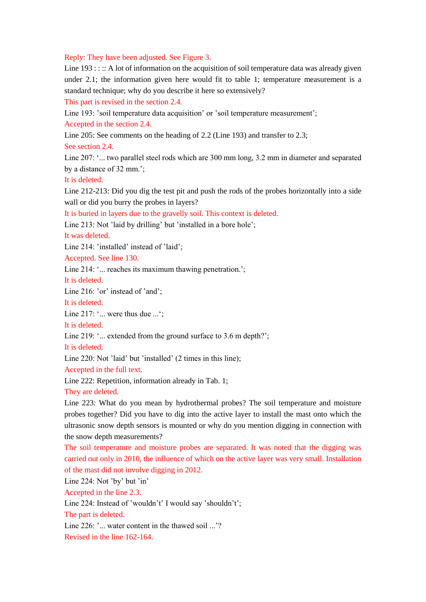Reply: They have been adjusted. See Figure 3.

Line  $193:$ :: A lot of information on the acquisition of soil temperature data was already given under 2.1; the information given here would fit to table 1; temperature measurement is a standard technique; why do you describe it here so extensively?

This part is revised in the section 2.4.

Line 193: 'soil temperature data acquisition' or 'soil temperature measurement';

Accepted in the section 2.4.

Line 205: See comments on the heading of 2.2 (Line 193) and transfer to 2.3;

See section 2.4.

Line 207: '... two parallel steel rods which are 300 mm long, 3.2 mm in diameter and separated by a distance of 32 mm.';

It is deleted.

Line 212-213: Did you dig the test pit and push the rods of the probes horizontally into a side wall or did you burry the probes in layers?

It is buried in layers due to the gravelly soil. This context is deleted.

Line 213: Not 'laid by drilling' but 'installed in a bore hole';

It was deleted.

Line 214: 'installed' instead of 'laid';

Accepted. See line 130.

Line 214: '... reaches its maximum thawing penetration.';

It is deleted.

Line 216: 'or' instead of 'and';

It is deleted.

Line 217: '... were thus due ...';

It is deleted.

Line 219: '... extended from the ground surface to 3.6 m depth?';

It is deleted.

Line 220: Not 'laid' but 'installed' (2 times in this line);

Accepted in the full text.

Line 222: Repetition, information already in Tab. 1;

They are deleted.

Line 223: What do you mean by hydrothermal probes? The soil temperature and moisture probes together? Did you have to dig into the active layer to install the mast onto which the ultrasonic snow depth sensors is mounted or why do you mention digging in connection with the snow depth measurements?

The soil temperature and moisture probes are separated. It was noted that the digging was carried out only in 2010, the influence of which on the active layer was very small. Installation of the mast did not involve digging in 2012.

Line 224: Not 'by' but 'in'

Accepted in the line 2.3.

Line 224: Instead of 'wouldn't' I would say 'shouldn't';

The part is deleted.

Line 226: '... water content in the thawed soil ...'?

Revised in the line 162-164.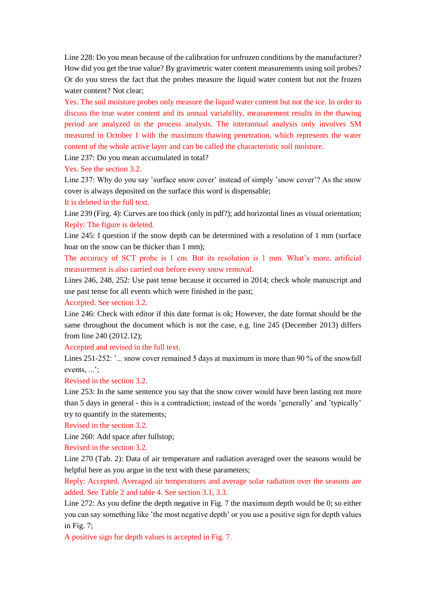Line 228: Do you mean because of the calibration for unfrozen conditions by the manufacturer? How did you get the true value? By gravimetric water content measurements using soil probes? Or do you stress the fact that the probes measure the liquid water content but not the frozen water content? Not clear;

Yes. The soil moisture probes only measure the liquid water content but not the ice. In order to discuss the true water content and its annual variability, measurement results in the thawing period are analyzed in the process analysis. The interannual analysis only involves SM measured in October 1 with the maximum thawing penetration, which represents the water content of the whole active layer and can be called the characteristic soil moisture.

Line 237: Do you mean accumulated in total?

Yes. See the section 3.2.

Line 237: Why do you say 'surface snow cover' instead of simply 'snow cover'? As the snow cover is always deposited on the surface this word is dispensable;

It is deleted in the full text.

Line 239 (Firg. 4): Curves are too thick (only in pdf?); add horizontal lines as visual orientation; Reply: The figure is deleted.

Line 245: I question if the snow depth can be determined with a resolution of 1 mm (surface hoar on the snow can be thicker than 1 mm);

The accuracy of SCT probe is 1 cm. But its resolution is 1 mm. What's more, artificial measurement is also carried out before every snow removal.

Lines 246, 248, 252: Use past tense because it occurred in 2014; check whole manuscript and use past tense for all events which were finished in the past;

Accepted. See section 3.2.

Line 246: Check with editor if this date format is ok; However, the date format should be the same throughout the document which is not the case, e.g. line 245 (December 2013) differs from line 240 (2012.12);

Accepted and revised in the full text.

Lines 251-252: '... snow cover remained 5 days at maximum in more than 90 % of the snowfall events, ...';

Revised in the section 3.2.

Line 253: In the same sentence you say that the snow cover would have been lasting not more than 5 days in general - this is a contradiction; instead of the words 'generally' and 'typically' try to quantify in the statements;

Revised in the section 3.2.

Line 260: Add space after fullstop;

Revised in the section 3.2.

Line 270 (Tab. 2): Data of air temperature and radiation averaged over the seasons would be helpful here as you argue in the text with these parameters;

Reply: Accepted. Averaged air temperatures and average solar radiation over the seasons are added. See Table 2 and table 4. See section 3.1, 3.3.

Line 272: As you define the depth negative in Fig. 7 the maximum depth would be 0; so either you can say something like 'the most negative depth' or you use a positive sign for depth values in Fig. 7;

A positive sign for depth values is accepted in Fig. 7.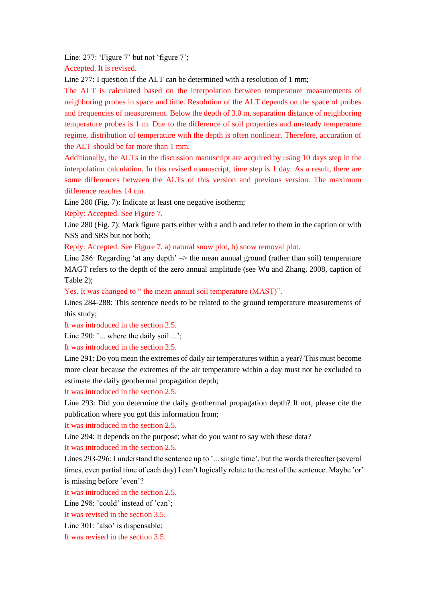Line: 277: 'Figure 7' but not 'figure 7';

Accepted. It is revised.

Line 277: I question if the ALT can be determined with a resolution of 1 mm;

The ALT is calculated based on the interpolation between temperature measurements of neighboring probes in space and time. Resolution of the ALT depends on the space of probes and frequencies of measurement. Below the depth of 3.0 m, separation distance of neighboring temperature probes is 1 m. Due to the difference of soil properties and unsteady temperature regime, distribution of temperature with the depth is often nonlinear. Therefore, accuration of the ALT should be far more than 1 mm.

Additionally, the ALTs in the discussion manuscript are acquired by using 10 days step in the interpolation calculation. In this revised manuscript, time step is 1 day. As a result, there are some differences between the ALTs of this version and previous version. The maximum difference reaches 14 cm.

Line 280 (Fig. 7): Indicate at least one negative isotherm;

Reply: Accepted. See Figure 7.

Line 280 (Fig. 7): Mark figure parts either with a and b and refer to them in the caption or with NSS and SRS but not both;

Reply: Accepted. See Figure 7. a) natural snow plot, b) snow removal plot.

Line 286: Regarding 'at any depth'  $\rightarrow$  the mean annual ground (rather than soil) temperature MAGT refers to the depth of the zero annual amplitude (see Wu and Zhang, 2008, caption of Table 2);

Yes. It was changed to " the mean annual soil temperature (MAST)".

Lines 284-288: This sentence needs to be related to the ground temperature measurements of this study;

It was introduced in the section 2.5.

Line 290: '... where the daily soil ...';

It was introduced in the section 2.5.

Line 291: Do you mean the extremes of daily air temperatures within a year? This must become more clear because the extremes of the air temperature within a day must not be excluded to estimate the daily geothermal propagation depth;

It was introduced in the section 2.5.

Line 293: Did you determine the daily geothermal propagation depth? If not, please cite the publication where you got this information from;

It was introduced in the section 2.5.

Line 294: It depends on the purpose; what do you want to say with these data?

It was introduced in the section 2.5.

Lines 293-296: I understand the sentence up to '... single time', but the words thereafter (several times, even partial time of each day) I can't logically relate to the rest of the sentence. Maybe 'or' is missing before 'even'?

It was introduced in the section 2.5.

Line 298: 'could' instead of 'can';

It was revised in the section 3.5.

Line 301: 'also' is dispensable;

It was revised in the section 3.5.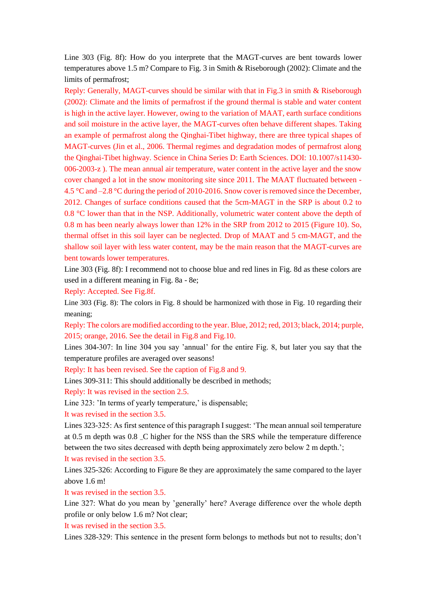Line 303 (Fig. 8f): How do you interprete that the MAGT-curves are bent towards lower temperatures above 1.5 m? Compare to Fig. 3 in Smith & Riseborough (2002): Climate and the limits of permafrost;

Reply: Generally, MAGT-curves should be similar with that in Fig.3 in smith & Riseborough (2002): Climate and the limits of permafrost if the ground thermal is stable and water content is high in the active layer. However, owing to the variation of MAAT, earth surface conditions and soil moisture in the active layer, the MAGT-curves often behave different shapes. Taking an example of permafrost along the Qinghai-Tibet highway, there are three typical shapes of MAGT-curves (Jin et al., 2006. Thermal regimes and degradation modes of permafrost along the Qinghai-Tibet highway. Science in China Series D: Earth Sciences. DOI: 10.1007/s11430- 006-2003-z ). The mean annual air temperature, water content in the active layer and the snow cover changed a lot in the snow monitoring site since 2011. The MAAT fluctuated between - 4.5 °C and –2.8 °C during the period of 2010-2016. Snow cover is removed since the December, 2012. Changes of surface conditions caused that the 5cm-MAGT in the SRP is about 0.2 to 0.8  $\degree$ C lower than that in the NSP. Additionally, volumetric water content above the depth of 0.8 m has been nearly always lower than 12% in the SRP from 2012 to 2015 (Figure 10). So, thermal offset in this soil layer can be neglected. Drop of MAAT and 5 cm-MAGT, and the shallow soil layer with less water content, may be the main reason that the MAGT-curves are bent towards lower temperatures.

Line 303 (Fig. 8f): I recommend not to choose blue and red lines in Fig. 8d as these colors are used in a different meaning in Fig. 8a - 8e;

Reply: Accepted. See Fig.8f.

Line 303 (Fig. 8): The colors in Fig. 8 should be harmonized with those in Fig. 10 regarding their meaning;

Reply: The colors are modified according to the year. Blue, 2012; red, 2013; black, 2014; purple, 2015; orange, 2016. See the detail in Fig.8 and Fig.10.

Lines 304-307: In line 304 you say 'annual' for the entire Fig. 8, but later you say that the temperature profiles are averaged over seasons!

Reply: It has been revised. See the caption of Fig.8 and 9.

Lines 309-311: This should additionally be described in methods;

Reply: It was revised in the section 2.5.

Line 323: 'In terms of yearly temperature,' is dispensable;

It was revised in the section 3.5.

Lines 323-325: As first sentence of this paragraph I suggest: 'The mean annual soil temperature at 0.5 m depth was 0.8 \_C higher for the NSS than the SRS while the temperature difference between the two sites decreased with depth being approximately zero below 2 m depth.';

It was revised in the section 3.5.

Lines 325-326: According to Figure 8e they are approximately the same compared to the layer above 1.6 m!

It was revised in the section 3.5.

Line 327: What do you mean by 'generally' here? Average difference over the whole depth profile or only below 1.6 m? Not clear;

It was revised in the section 3.5.

Lines 328-329: This sentence in the present form belongs to methods but not to results; don't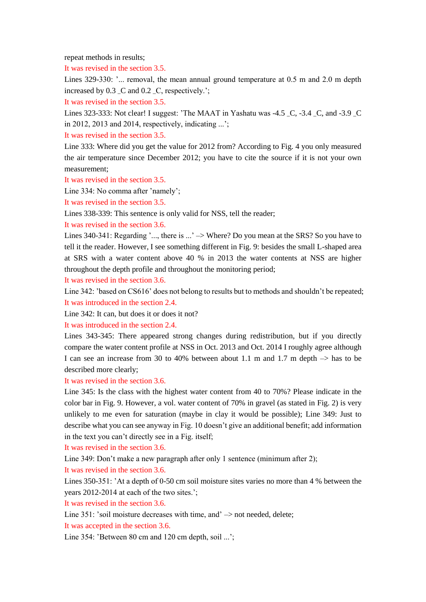repeat methods in results;

It was revised in the section 3.5.

Lines 329-330: '... removal, the mean annual ground temperature at 0.5 m and 2.0 m depth increased by  $0.3 \text{ } C$  and  $0.2 \text{ } C$ , respectively.';

It was revised in the section 3.5.

Lines 323-333: Not clear! I suggest: 'The MAAT in Yashatu was -4.5 \_C, -3.4 \_C, and -3.9 \_C in 2012, 2013 and 2014, respectively, indicating ...';

It was revised in the section 3.5.

Line 333: Where did you get the value for 2012 from? According to Fig. 4 you only measured the air temperature since December 2012; you have to cite the source if it is not your own measurement;

It was revised in the section 3.5.

Line 334: No comma after 'namely';

It was revised in the section 3.5.

Lines 338-339: This sentence is only valid for NSS, tell the reader;

It was revised in the section 3.6.

Lines 340-341: Regarding '..., there is ...'  $\rightarrow$  Where? Do you mean at the SRS? So you have to tell it the reader. However, I see something different in Fig. 9: besides the small L-shaped area at SRS with a water content above 40 % in 2013 the water contents at NSS are higher throughout the depth profile and throughout the monitoring period;

It was revised in the section 3.6.

Line 342: 'based on CS616' does not belong to results but to methods and shouldn't be repeated; It was introduced in the section 2.4.

Line 342: It can, but does it or does it not?

It was introduced in the section 2.4.

Lines 343-345: There appeared strong changes during redistribution, but if you directly compare the water content profile at NSS in Oct. 2013 and Oct. 2014 I roughly agree although I can see an increase from 30 to 40% between about 1.1 m and 1.7 m depth  $\rightarrow$  has to be described more clearly;

It was revised in the section 3.6.

Line 345: Is the class with the highest water content from 40 to 70%? Please indicate in the color bar in Fig. 9. However, a vol. water content of 70% in gravel (as stated in Fig. 2) is very unlikely to me even for saturation (maybe in clay it would be possible); Line 349: Just to describe what you can see anyway in Fig. 10 doesn't give an additional benefit; add information in the text you can't directly see in a Fig. itself;

It was revised in the section 3.6.

Line 349: Don't make a new paragraph after only 1 sentence (minimum after 2);

It was revised in the section 3.6.

Lines 350-351: 'At a depth of 0-50 cm soil moisture sites varies no more than 4 % between the years 2012-2014 at each of the two sites.';

It was revised in the section 3.6.

Line 351: 'soil moisture decreases with time, and' -> not needed, delete;

It was accepted in the section 3.6.

Line 354: 'Between 80 cm and 120 cm depth, soil ...';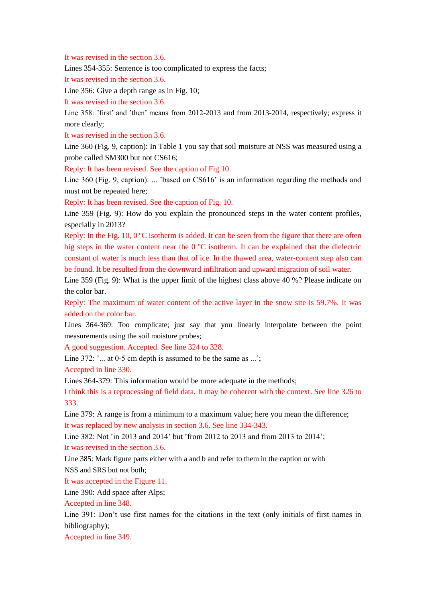It was revised in the section 3.6.

Lines 354-355: Sentence is too complicated to express the facts;

It was revised in the section 3.6.

Line 356: Give a depth range as in Fig. 10;

It was revised in the section 3.6.

Line 358: 'first' and 'then' means from 2012-2013 and from 2013-2014, respectively; express it more clearly;

It was revised in the section 3.6.

Line 360 (Fig. 9, caption): In Table 1 you say that soil moisture at NSS was measured using a probe called SM300 but not CS616;

Reply: It has been revised. See the caption of Fig.10.

Line 360 (Fig. 9, caption): ... 'based on CS616' is an information regarding the methods and must not be repeated here;

Reply: It has been revised. See the caption of Fig. 10.

Line 359 (Fig. 9): How do you explain the pronounced steps in the water content profiles, especially in 2013?

Reply: In the Fig. 10, 0  $\degree$  isotherm is added. It can be seen from the figure that there are often big steps in the water content near the  $0 \, \text{C}$  isotherm. It can be explained that the dielectric constant of water is much less than that of ice. In the thawed area, water-content step also can be found. It be resulted from the downward infiltration and upward migration of soil water.

Line 359 (Fig. 9): What is the upper limit of the highest class above 40 %? Please indicate on the color bar.

Reply: The maximum of water content of the active layer in the snow site is 59.7%. It was added on the color bar.

Lines 364-369: Too complicate; just say that you linearly interpolate between the point measurements using the soil moisture probes;

A good suggestion. Accepted. See line 324 to 328.

Line 372: '... at 0-5 cm depth is assumed to be the same as ...';

Accepted in line 330.

Lines 364-379: This information would be more adequate in the methods;

I think this is a reprocessing of field data. It may be coherent with the context. See line 326 to 333.

Line 379: A range is from a minimum to a maximum value; here you mean the difference; It was replaced by new analysis in section 3.6. See line 334-343.

Line 382: Not 'in 2013 and 2014' but 'from 2012 to 2013 and from 2013 to 2014'; It was revised in the section 3.6.

Line 385: Mark figure parts either with a and b and refer to them in the caption or with NSS and SRS but not both;

It was accepted in the Figure 11.

Line 390: Add space after Alps;

Accepted in line 348.

Line 391: Don't use first names for the citations in the text (only initials of first names in bibliography);

Accepted in line 349.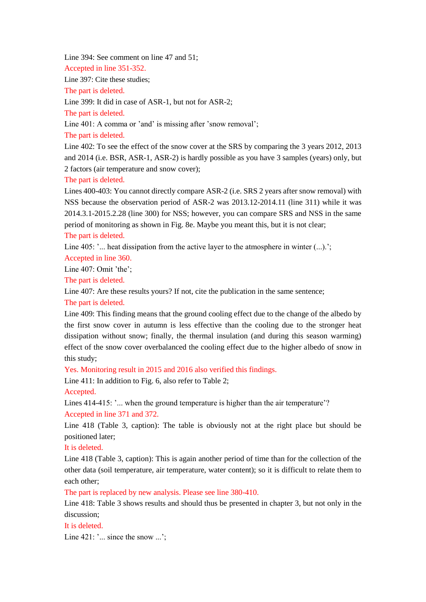Line 394: See comment on line 47 and 51;

Accepted in line 351-352.

Line 397: Cite these studies;

The part is deleted.

Line 399: It did in case of ASR-1, but not for ASR-2;

The part is deleted.

Line 401: A comma or 'and' is missing after 'snow removal';

The part is deleted.

Line 402: To see the effect of the snow cover at the SRS by comparing the 3 years 2012, 2013 and 2014 (i.e. BSR, ASR-1, ASR-2) is hardly possible as you have 3 samples (years) only, but 2 factors (air temperature and snow cover);

The part is deleted.

Lines 400-403: You cannot directly compare ASR-2 (i.e. SRS 2 years after snow removal) with NSS because the observation period of ASR-2 was 2013.12-2014.11 (line 311) while it was 2014.3.1-2015.2.28 (line 300) for NSS; however, you can compare SRS and NSS in the same period of monitoring as shown in Fig. 8e. Maybe you meant this, but it is not clear; The part is deleted.

Line  $405$ :  $\degree$ ... heat dissipation from the active layer to the atmosphere in winter  $\degree$ ...). $\degree$ :

Accepted in line 360.

Line 407: Omit 'the';

The part is deleted.

Line 407: Are these results yours? If not, cite the publication in the same sentence;

The part is deleted.

Line 409: This finding means that the ground cooling effect due to the change of the albedo by the first snow cover in autumn is less effective than the cooling due to the stronger heat dissipation without snow; finally, the thermal insulation (and during this season warming) effect of the snow cover overbalanced the cooling effect due to the higher albedo of snow in this study;

Yes. Monitoring result in 2015 and 2016 also verified this findings.

Line 411: In addition to Fig. 6, also refer to Table 2;

Accepted.

Lines 414-415: '... when the ground temperature is higher than the air temperature'?

Accepted in line 371 and 372.

Line 418 (Table 3, caption): The table is obviously not at the right place but should be positioned later;

It is deleted.

Line 418 (Table 3, caption): This is again another period of time than for the collection of the other data (soil temperature, air temperature, water content); so it is difficult to relate them to each other;

The part is replaced by new analysis. Please see line 380-410.

Line 418: Table 3 shows results and should thus be presented in chapter 3, but not only in the discussion;

It is deleted.

Line 421: '... since the snow ...';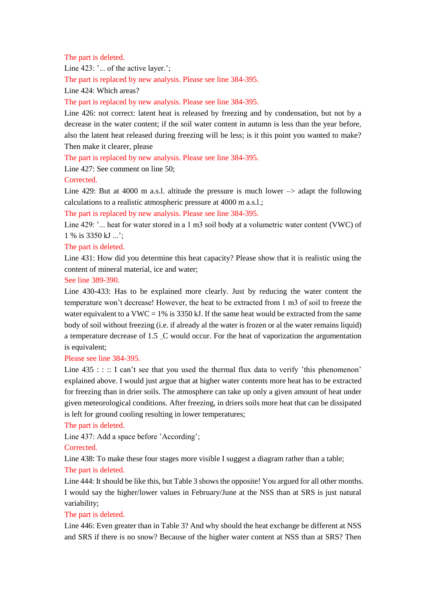#### The part is deleted.

Line 423: '... of the active layer.';

The part is replaced by new analysis. Please see line 384-395.

Line 424: Which areas?

#### The part is replaced by new analysis. Please see line 384-395.

Line 426: not correct: latent heat is released by freezing and by condensation, but not by a decrease in the water content; if the soil water content in autumn is less than the year before, also the latent heat released during freezing will be less; is it this point you wanted to make? Then make it clearer, please

The part is replaced by new analysis. Please see line 384-395.

Line 427: See comment on line 50;

Corrected.

Line 429: But at 4000 m a.s.l. altitude the pressure is much lower  $\rightarrow$  adapt the following calculations to a realistic atmospheric pressure at 4000 m a.s.l.;

The part is replaced by new analysis. Please see line 384-395.

Line 429: '... heat for water stored in a 1 m3 soil body at a volumetric water content (VWC) of 1 % is 3350 kJ ...';

## The part is deleted.

Line 431: How did you determine this heat capacity? Please show that it is realistic using the content of mineral material, ice and water;

See line 389-390.

Line 430-433: Has to be explained more clearly. Just by reducing the water content the temperature won't decrease! However, the heat to be extracted from 1 m3 of soil to freeze the water equivalent to a VWC = 1% is 3350 kJ. If the same heat would be extracted from the same body of soil without freezing (i.e. if already al the water is frozen or al the water remains liquid) a temperature decrease of 1.5 \_C would occur. For the heat of vaporization the argumentation is equivalent;

#### Please see line 384-395.

Line  $435$  : : :: I can't see that you used the thermal flux data to verify 'this phenomenon' explained above. I would just argue that at higher water contents more heat has to be extracted for freezing than in drier soils. The atmosphere can take up only a given amount of heat under given meteorological conditions. After freezing, in driers soils more heat that can be dissipated is left for ground cooling resulting in lower temperatures;

#### The part is deleted.

Line 437: Add a space before 'According';

## Corrected.

Line 438: To make these four stages more visible I suggest a diagram rather than a table; The part is deleted.

Line 444: It should be like this, but Table 3 shows the opposite! You argued for all other months. I would say the higher/lower values in February/June at the NSS than at SRS is just natural variability;

## The part is deleted.

Line 446: Even greater than in Table 3? And why should the heat exchange be different at NSS and SRS if there is no snow? Because of the higher water content at NSS than at SRS? Then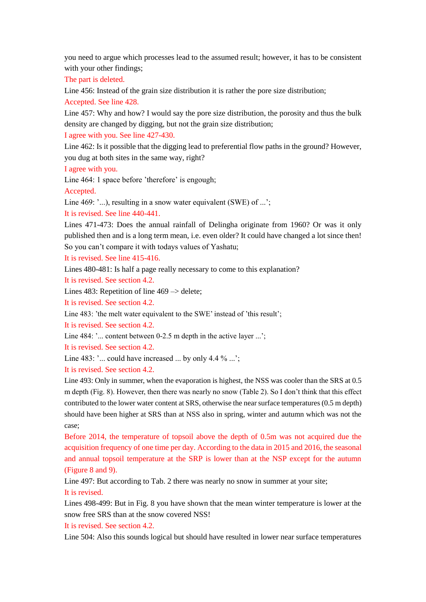you need to argue which processes lead to the assumed result; however, it has to be consistent with your other findings;

The part is deleted.

Line 456: Instead of the grain size distribution it is rather the pore size distribution;

Accepted. See line 428.

Line 457: Why and how? I would say the pore size distribution, the porosity and thus the bulk density are changed by digging, but not the grain size distribution;

I agree with you. See line 427-430.

Line 462: Is it possible that the digging lead to preferential flow paths in the ground? However, you dug at both sites in the same way, right?

I agree with you.

Line 464: 1 space before 'therefore' is engough;

Accepted.

Line 469: '...), resulting in a snow water equivalent (SWE) of ...';

It is revised. See line 440-441.

Lines 471-473: Does the annual rainfall of Delingha originate from 1960? Or was it only published then and is a long term mean, i.e. even older? It could have changed a lot since then! So you can't compare it with todays values of Yashatu;

It is revised. See line 415-416.

Lines 480-481: Is half a page really necessary to come to this explanation?

It is revised. See section 4.2.

Lines 483: Repetition of line 469  $\rightarrow$  delete;

It is revised. See section 4.2.

Line 483: 'the melt water equivalent to the SWE' instead of 'this result';

It is revised. See section 4.2.

Line 484: '... content between 0-2.5 m depth in the active layer ...';

It is revised. See section 4.2.

Line 483:  $\cdot \dots$  could have increased  $\dots$  by only 4.4 %  $\dots$ ;

It is revised. See section 4.2.

Line 493: Only in summer, when the evaporation is highest, the NSS was cooler than the SRS at 0.5 m depth (Fig. 8). However, then there was nearly no snow (Table 2). So I don't think that this effect contributed to the lower water content at SRS, otherwise the near surface temperatures (0.5 m depth) should have been higher at SRS than at NSS also in spring, winter and autumn which was not the case;

Before 2014, the temperature of topsoil above the depth of 0.5m was not acquired due the acquisition frequency of one time per day. According to the data in 2015 and 2016, the seasonal and annual topsoil temperature at the SRP is lower than at the NSP except for the autumn (Figure 8 and 9).

Line 497: But according to Tab. 2 there was nearly no snow in summer at your site; It is revised.

Lines 498-499: But in Fig. 8 you have shown that the mean winter temperature is lower at the snow free SRS than at the snow covered NSS!

It is revised. See section 4.2.

Line 504: Also this sounds logical but should have resulted in lower near surface temperatures